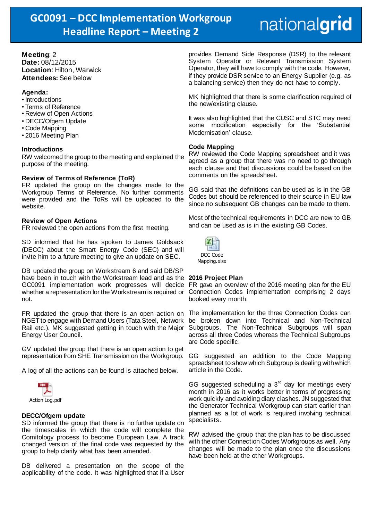# nationalgrid

**Meeting**: 2 **Date:** 08/12/2015 **Location**: Hilton, Warwick **Attendees:** See below

### **Agenda:**

- Introductions
- Terms of Reference
- Review of Open Actions
- DECC/Ofgem Update
- Code Mapping
- 2016 Meeting Plan

#### **Introductions**

RW welcomed the group to the meeting and explained the purpose of the meeting.

### **Review of Terms of Reference (ToR)**

FR updated the group on the changes made to the Workgroup Terms of Reference. No further comments were provided and the ToRs will be uploaded to the website.

### **Review of Open Actions**

FR reviewed the open actions from the first meeting.

SD informed that he has spoken to James Goldsack (DECC) about the Smart Energy Code (SEC) and will invite him to a future meeting to give an update on SEC.

DB updated the group on Workstream 6 and said DB/SP have been in touch with the Workstream lead and as the **2016 Project Plan** not.

NGET to engage with Demand Users (Tata Steel, Network Rail etc.). MK suggested getting in touch with the Major Subgroups. The Non-Technical Subgroups will span Energy User Council.

GV updated the group that there is an open action to get representation from SHE Transmission on the Workgroup.

A log of all the actions can be found is attached below.



#### **DECC/Ofgem update**

SD informed the group that there is no further update on the timescales in which the code will complete the Comitology process to become European Law. A track changed version of the final code was requested by the group to help clarify what has been amended.

DB delivered a presentation on the scope of the applicability of the code. It was highlighted that if a User provides Demand Side Response (DSR) to the relevant System Operator or Relevant Transmission System Operator, they will have to comply with the code. However, if they provide DSR service to an Energy Supplier (e.g. as a balancing service) then they do not have to comply.

MK highlighted that there is some clarification required of the new/existing clause.

It was also highlighted that the CUSC and STC may need some modification especially for the 'Substantial Modernisation' clause.

### **Code Mapping**

RW reviewed the Code Mapping spreadsheet and it was agreed as a group that there was no need to go through each clause and that discussions could be based on the comments on the spreadsheet.

GG said that the definitions can be used as is in the GB Codes but should be referenced to their source in EU law since no subsequent GB changes can be made to them.

Most of the technical requirements in DCC are new to GB and can be used as is in the existing GB Codes.



GC0091 implementation work progresses will decide FR gave an overview of the 2016 meeting plan for the EU whether a representation for the Workstream is required or Connection Codes implementation comprising 2 days booked every month.

FR updated the group that there is an open action on The implementation for the three Connection Codes can be broken down into Technical and Non-Technical across all three Codes whereas the Technical Subgroups are Code specific.

> GG suggested an addition to the Code Mapping spreadsheet to show which Subgroup is dealing with which article in the Code.

> GG suggested scheduling a  $3<sup>rd</sup>$  day for meetings every month in 2016 as it works better in terms of progressing work quickly and avoiding diary clashes. JN suggested that the Generator Technical Workgroup can start earlier than planned as a lot of work is required involving technical specialists.

> RW advised the group that the plan has to be discussed with the other Connection Codes Workgroups as well. Any changes will be made to the plan once the discussions have been held at the other Workgroups.